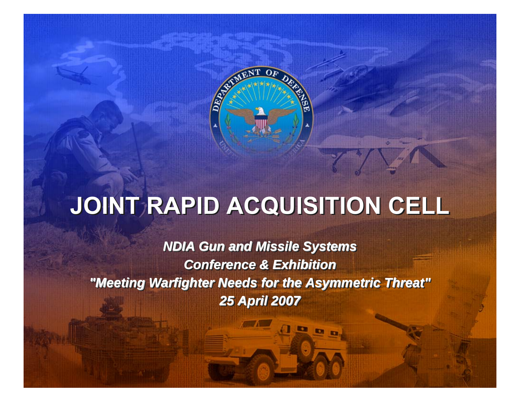

# **JOINT RAPID ACQUISITION CELL JOINT RAPID ACQUISITION CELL**

*NDIA Gun and Missile Systems NDIA Gun and Missile Systems NDIA Gun and Missile Systems Conference & ExhibitionConference & Exhibition Conference & Exhibition "Meeting Warfighter Needs for the Asymmetric Threat" "Meeting Warfighter Needs for the Asymmetric Threat" "Meeting Warfighter Needs for the Asymmetric Threat" 25 April 2007 25 April 2007 April 2007*

 $D<sub>0</sub>$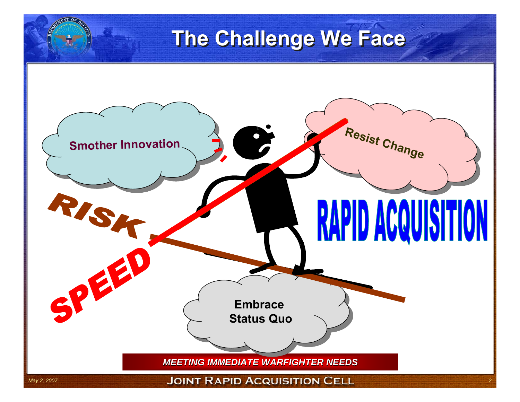# **The Challenge We Face The Challenge We Face**

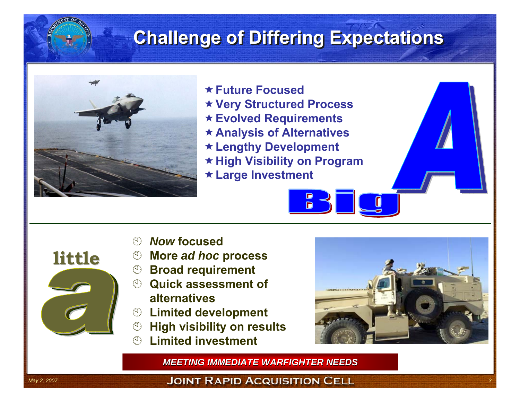#### **Challenge of Differing Expectations Challenge of Differing Expectations**



- **Future Focused**
- **Very Structured Process**
- **Evolved Requirements**
- **Analysis of Alternatives**
- **Lengthy Development**
- **High Visibility on Program**

**n** 

**Large Investment**

- $($ *Now* **focused**
- $\binom{4}{1}$ **More** *ad hoc* **process**
- **<sup>5</sup> Broad requirement**
- **<sup>1</sup> Quick assessment of alternatives**
- $\circledcirc$  Limited development
- $\binom{1}{k}$ **High visibility on results**
- $(1)$ **Limited investment**



*MEETING IMMEDIATE WARFIGHTER NEEDS*

**little**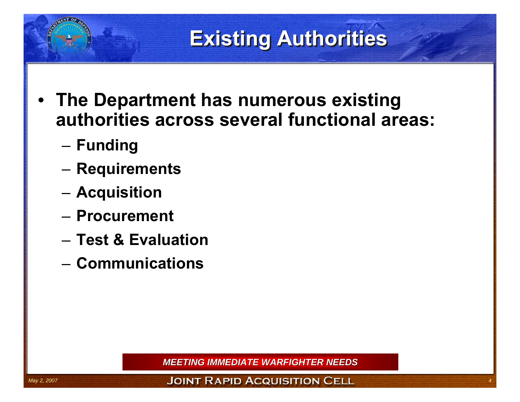## **Existing Authorities Existing Authorities**

- **The Department has numerous existing authorities across several functional areas:**
	- and the state of the **Funding**
	- and the state of the **Requirements**
	- and the state of the **Acquisition**
	- **Procurement**
	- **Test & Evaluation**
	- **Communications**

*MEETING IMMEDIATE WARFIGHTER NEEDS*

May 2, 2007 **1998 ISSUES 2007 THE SALE OF A SERVIS SERVIS TO A COULD IT TO A COULD IT TO A CELL**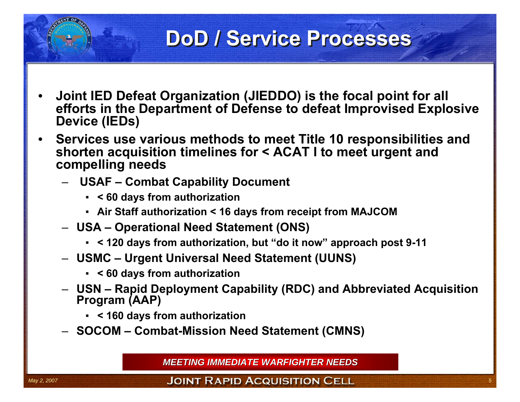#### **DoD / Service Processes DoD / Service Processes**

- • **Joint IED Defeat Organization (JIEDDO) is the focal point for all efforts in the Department of Defense to defeat Improvised Explosive Device (IEDs)**
- • **Services use various methods to meet Title 10 responsibilities and shorten acquisition timelines for < ACAT I to meet urgent and compelling needs**
	- **USAF – Combat Capability Document**
		- **< 60 days from authorization**
		- **Air Staff authorization < 16 days from receipt from MAJCOM**
	- **USA – Operational Need Statement (ONS)**
		- **< 120 days from authorization, but "do it now" approach post 9-11**
	- **USMC – Urgent Universal Need Statement (UUNS)**
		- **< 60 days from authorization**
	- **USN – Rapid Deployment Capability (RDC) and Abbreviated Acquisition Program (AAP)**
		- **< 160 days from authorization**
	- **SOCOM – Combat-Mission Need Statement (CMNS)**

*MEETING IMMEDIATE WARFIGHTER NEEDS*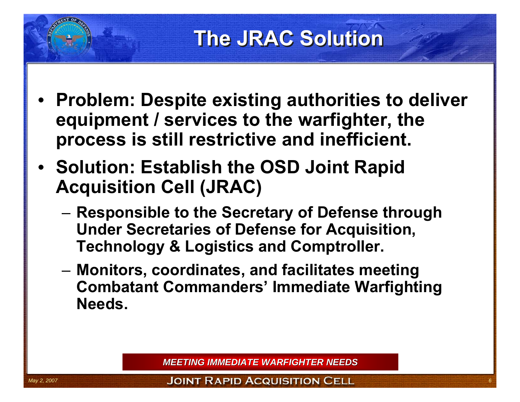### **The JRAC Solution The JRAC Solution**

- • **Problem: Despite existing authorities to deliver equipment / services to the warfighter, the process is still restrictive and inefficient.**
- **Solution: Establish the OSD Joint Rapid Acquisition Cell (JRAC)**
	- – **Responsible to the Secretary of Defense through Under Secretaries of Defense for Acquisition, Technology & Logistics and Comptroller.**
	- **Links of the Company Monitors, coordinates, and facilitates meeting Combatant Commanders' Immediate Warfighting Needs.**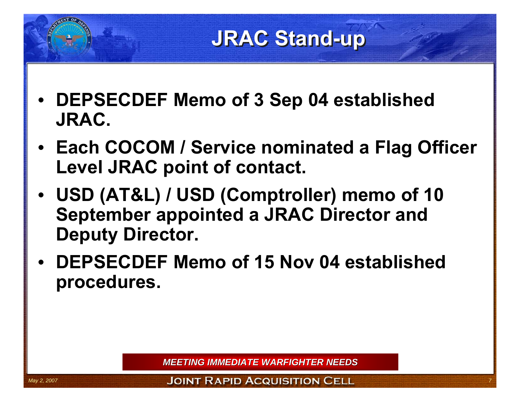#### **JRAC Stand-up JRAC Stand-up**

- • **DEPSECDEF Memo of 3 Sep 04 established JRAC.**
- **Each COCOM / Service nominated a Flag Officer Level JRAC point of contact.**
- • **USD (AT&L) / USD (Comptroller) memo of 10 September appointed a JRAC Director and Deputy Director.**
- • **DEPSECDEF Memo of 15 Nov 04 established procedures.**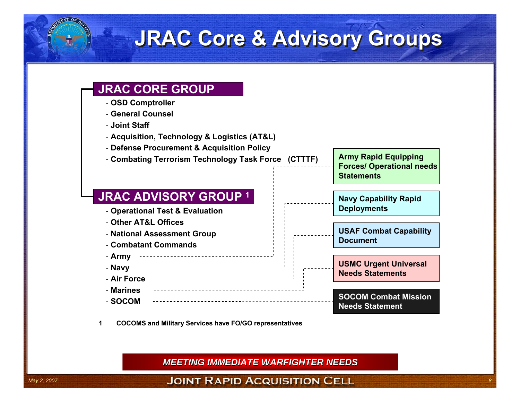#### **JRAC Core & Advisory Groups JRAC Core & Advisory Groups**

#### **JRAC CORE GROUP**

- **OSD Comptroller**
- **General Counsel**
- **Joint Staff**
- **Acquisition, Technology & Logistics (AT&L)**
- **Defense Procurement & Acquisition Policy**
- **Combating Terrorism Technology Task Force (CTTTF)**

#### **JRAC ADVISORY GROUP 1**

- **Operational Test & Evaluation**
- **Other AT&L Offices**
- **National Assessment Group**
- **Combatant Commands**
- **Army**
- **Navy**
- **Air Force**
- **Marines**
- **SOCOM**



#### **Navy Capability Rapid Deployments**

**USAF Combat Capability Document**

**USMC Urgent Universal Needs Statements**

**SOCOM Combat MissionNeeds Statement**

**1 COCOMS and Military Services have FO/GO representatives**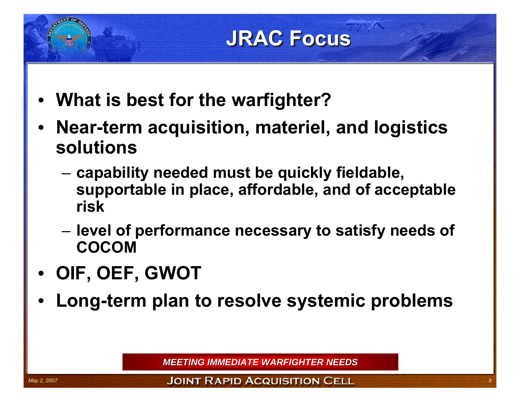# **JRAC Focus JRAC Focus**

- •**What is best for the warfighter?**
- • **Near-term acquisition, materiel, and logistics solutions**
	- and the state of the **capability needed must be quickly fieldable, supportable in place, affordable, and of acceptable risk**
	- and the state of the **level of performance necessary to satisfy needs of COCOM**
- •**OIF, OEF, GWOT**
- •**Long-term plan to resolve systemic problems**

*MEETING IMMEDIATE WARFIGHTER NEEDS*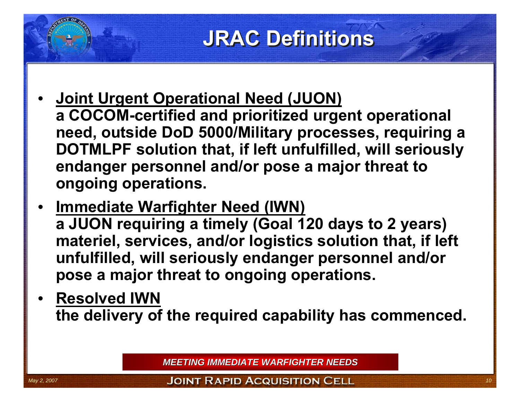### **JRAC Definitions JRAC Definitions**

- • **Joint Urgent Operational Need (JUON) a COCOM-certified and prioritized urgent operational need, outside DoD 5000/Military processes, requiring a DOTMLPF solution that, if left unfulfilled, will seriously endanger personnel and/or pose a major threat to ongoing operations.**
- • **Immediate Warfighter Need (IWN) a JUON requiring a timely (Goal 120 days to 2 years) materiel, services, and/or logistics solution that, if left unfulfilled, will seriously endanger personnel and/or pose a major threat to ongoing operations.**
- • **Resolved IWNthe delivery of the required capability has commenced.**

*MEETING IMMEDIATE WARFIGHTER NEEDS*

*May 2, 2007* **100 INT RAPID ACQUISITION CELL**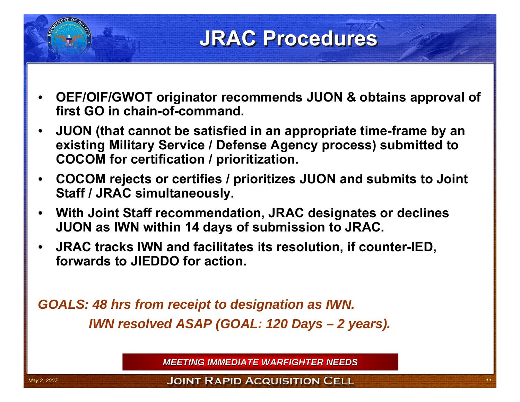#### **JRAC Procedures JRAC Procedures**

- • **OEF/OIF/GWOT originator recommends JUON & obtains approval of first GO in chain-of-command.**
- • **JUON (that cannot be satisfied in an appropriate time-frame by an existing Military Service / Defense Agency process) submitted to COCOM for certification / prioritization.**
- • **COCOM rejects or certifies / prioritizes JUON and submits to Joint Staff / JRAC simultaneously.**
- • **With Joint Staff recommendation, JRAC designates or declines JUON as IWN within 14 days of submission to JRAC.**
- $\bullet$  **JRAC tracks IWN and facilitates its resolution, if counter-IED, forwards to JIEDDO for action.**

*GOALS: 48 hrs from receipt to designation as IWN. IWN resolved ASAP (GOAL: 120 Days – 2 years).*

*MEETING IMMEDIATE WARFIGHTER NEEDS*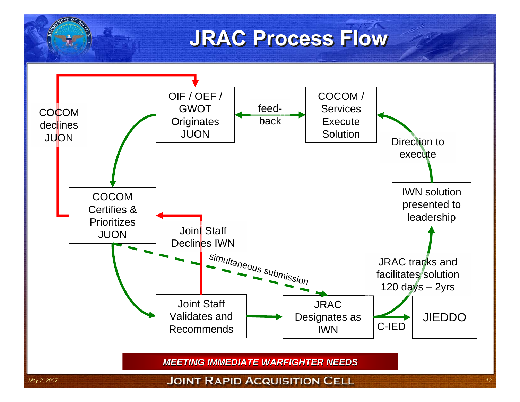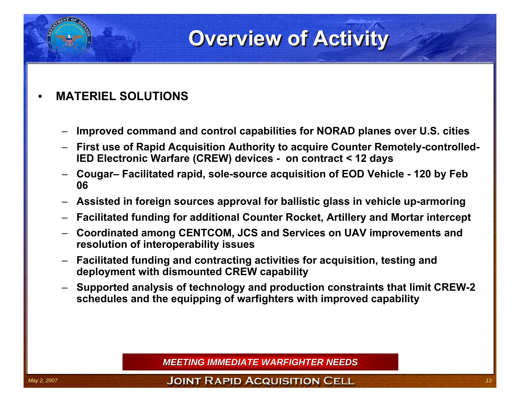#### **Overview of Activity**

#### •**MATERIEL SOLUTIONS**

- –**Improved command and control capabilities for NORAD planes over U.S. cities**
- **First use of Rapid Acquisition Authority to acquire Counter Remotely-controlled-IED Electronic Warfare (CREW) devices - on contract < 12 days**
- **Cougar– Facilitated rapid, sole-source acquisition of EOD Vehicle - 120 by Feb 06**
- **Assisted in foreign sources approval for ballistic glass in vehicle up-armoring**
- **Facilitated funding for additional Counter Rocket, Artillery and Mortar intercept**
- **Coordinated among CENTCOM, JCS and Services on UAV improvements and resolution of interoperability issues**
- **Facilitated funding and contracting activities for acquisition, testing and deployment with dismounted CREW capability**
- **Supported analysis of technology and production constraints that limit CREW-2 schedules and the equipping of warfighters with improved capability**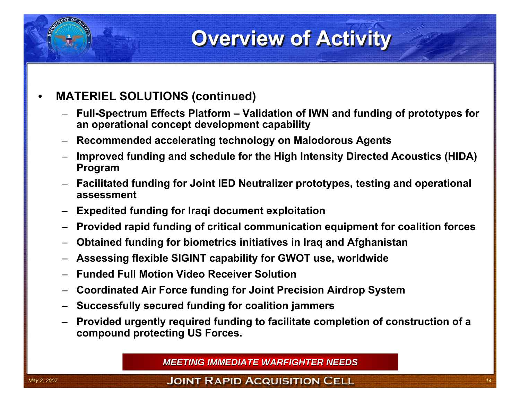### **Overview of Activity Overview of Activity**

#### •**MATERIEL SOLUTIONS (continued)**

- **Full-Spectrum Effects Platform – Validation of IWN and funding of prototypes for an operational concept development capability**
- **Recommended accelerating technology on Malodorous Agents**
- **Improved funding and schedule for the High Intensity Directed Acoustics (HIDA) Program**
- **Facilitated funding for Joint IED Neutralizer prototypes, testing and operational assessment**
- **Expedited funding for Iraqi document exploitation**
- **Provided rapid funding of critical communication equipment for coalition forces**
- **Obtained funding for biometrics initiatives in Iraq and Afghanistan**
- **Assessing flexible SIGINT capability for GWOT use, worldwide**
- **Funded Full Motion Video Receiver Solution**
- **Coordinated Air Force funding for Joint Precision Airdrop System**
- **Successfully secured funding for coalition jammers**
- **Provided urgently required funding to facilitate completion of construction of a compound protecting US Forces.**

*MEETING IMMEDIATE WARFIGHTER NEEDS*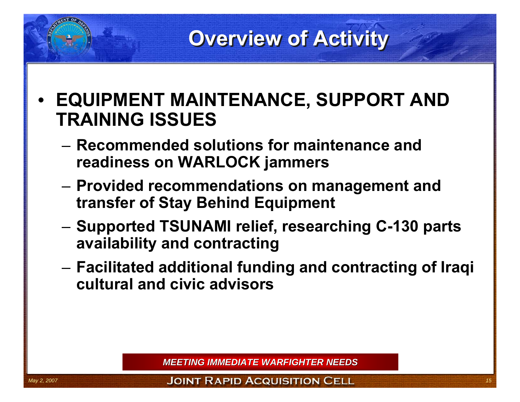#### **Overview of Activity Overview of Activity**

- • **EQUIPMENT MAINTENANCE, SUPPORT AND TRAINING ISSUES**
	- **Recommended solutions for maintenance and readiness on WARLOCK jammers**
	- and the state of the **Provided recommendations on management and transfer of Stay Behind Equipment**
	- and the state of the **Supported TSUNAMI relief, researching C-130 parts availability and contracting**
	- – **Facilitated additional funding and contracting of Iraqi cultural and civic advisors**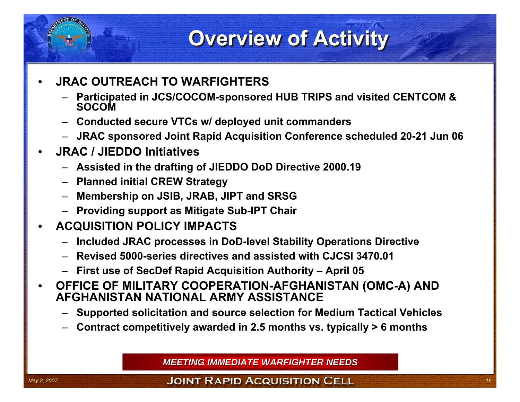#### **Overview of Activity Overview of Activity**

- • **JRAC OUTREACH TO WARFIGHTERS**
	- **Participated in JCS/COCOM-sponsored HUB TRIPS and visited CENTCOM & SOCOM**
	- **Conducted secure VTCs w/ deployed unit commanders**
	- **JRAC sponsored Joint Rapid Acquisition Conference scheduled 20-21 Jun 06**
- • **JRAC / JIEDDO Initiatives** 
	- **Assisted in the drafting of JIEDDO DoD Directive 2000.19**
	- **Planned initial CREW Strategy**
	- **Membership on JSIB, JRAB, JIPT and SRSG**
	- **Providing support as Mitigate Sub-IPT Chair**
- • **ACQUISITION POLICY IMPACTS**
	- **Included JRAC processes in DoD-level Stability Operations Directive**
	- **Revised 5000-series directives and assisted with CJCSI 3470.01**
	- **First use of SecDef Rapid Acquisition Authority – April 05**
- • **OFFICE OF MILITARY COOPERATION-AFGHANISTAN (OMC-A) AND AFGHANISTAN NATIONAL ARMY ASSISTANCE**
	- **Supported solicitation and source selection for Medium Tactical Vehicles**
	- **Contract competitively awarded in 2.5 months vs. typically > 6 months**

*MEETING IMMEDIATE WARFIGHTER NEEDS*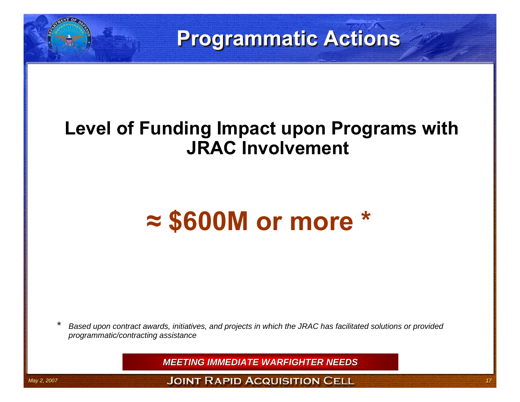## **Programmatic Actions Programmatic Actions**

#### **Level of Funding Impact upon Programs with JRAC Involvement**

# **≈ \$600M or more \***

*\* Based upon contract awards, initiatives, and projects in which the JRAC has facilitated solutions or provided programmatic/contracting assistance*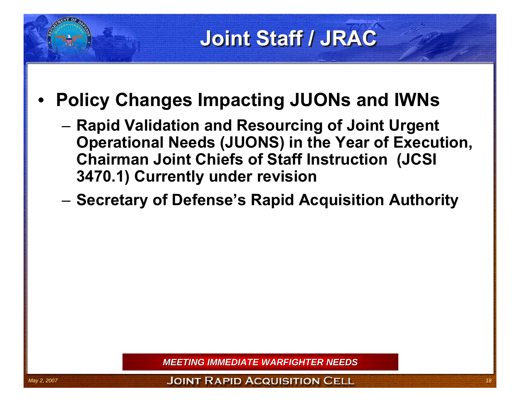# **Joint Staff / JRAC Joint Staff / JRAC**

- • **Policy Changes Impacting JUONs and IWNs** 
	- **Links of the Company Rapid Validation and Resourcing of Joint Urgent Operational Needs (JUONS) in the Year of Execution, Chairman Joint Chiefs of Staff Instruction (JCSI 3470.1) Currently under revision**
	- –**Secretary of Defense's Rapid Acquisition Authority**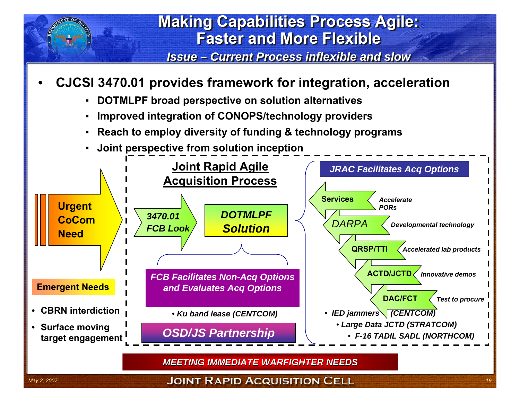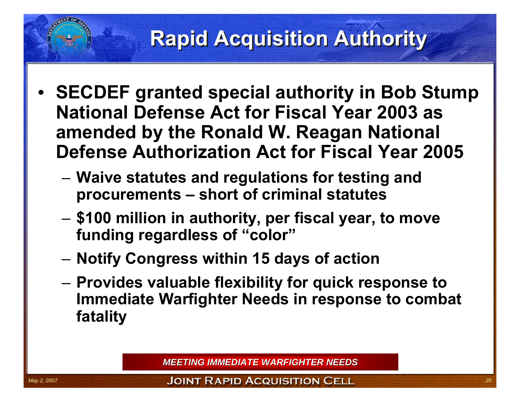#### **Rapid Acquisition Authority Rapid Acquisition Authority**

- • **SECDEF granted special authority in Bob Stump National Defense Act for Fiscal Year 2003 as amended by the Ronald W. Reagan National Defense Authorization Act for Fiscal Year 2005**
	- – **Waive statutes and regulations for testing and procurements – short of criminal statutes**
	- and the state of the **\$100 million in authority, per fiscal year, to move funding regardless of "color"**
	- and the state of the **Notify Congress within 15 days of action**
	- and the state of the **Provides valuable flexibility for quick response to Immediate Warfighter Needs in response to combat fatality**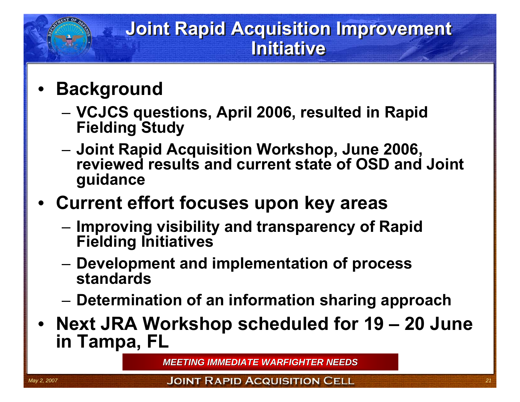#### **Joint Rapid Acquisition Improvement Joint Rapid Acquisition Improvement Initiative**

- • **Background**
	- and the state of the **VCJCS questions, April 2006, resulted in Rapid Fielding Study**
	- **Links of the Company Joint Rapid Acquisition Workshop, June 2006, reviewed results and current state of OSD and Joint guidance**
- • **Current effort focuses upon key areas**
	- **Links of the Company Improving visibility and transparency of Rapid Fielding Initiatives**
	- – **Development and implementation of process standards**
	- and the state of the **Determination of an information sharing approach**
- • **Next JRA Workshop scheduled for 19 – 20 June in Tampa, FL**

*MEETING IMMEDIATE WARFIGHTER NEEDS*